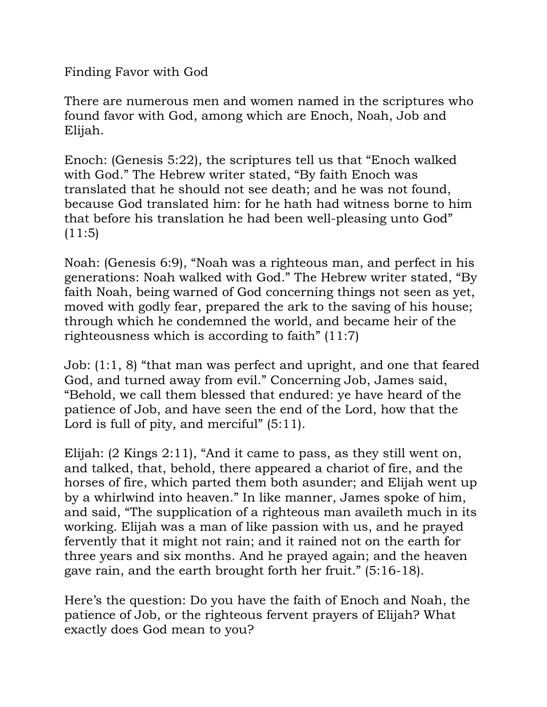Finding Favor with God

There are numerous men and women named in the scriptures who found favor with God, among which are Enoch, Noah, Job and Elijah.

Enoch: (Genesis 5:22), the scriptures tell us that "Enoch walked with God." The Hebrew writer stated, "By faith Enoch was translated that he should not see death; and he was not found, because God translated him: for he hath had witness borne to him that before his translation he had been well-pleasing unto God"  $(11:5)$ 

Noah: (Genesis 6:9), "Noah was a righteous man, and perfect in his generations: Noah walked with God." The Hebrew writer stated, "By faith Noah, being warned of God concerning things not seen as yet, moved with godly fear, prepared the ark to the saving of his house; through which he condemned the world, and became heir of the righteousness which is according to faith" (11:7)

Job: (1:1, 8) "that man was perfect and upright, and one that feared God, and turned away from evil." Concerning Job, James said, "Behold, we call them blessed that endured: ye have heard of the patience of Job, and have seen the end of the Lord, how that the Lord is full of pity, and merciful"  $(5:11)$ .

Elijah: (2 Kings 2:11), "And it came to pass, as they still went on, and talked, that, behold, there appeared a chariot of fire, and the horses of fire, which parted them both asunder; and Elijah went up by a whirlwind into heaven." In like manner, James spoke of him, and said, "The supplication of a righteous man availeth much in its working. Elijah was a man of like passion with us, and he prayed fervently that it might not rain; and it rained not on the earth for three years and six months. And he prayed again; and the heaven gave rain, and the earth brought forth her fruit." (5:16-18).

Here's the question: Do you have the faith of Enoch and Noah, the patience of Job, or the righteous fervent prayers of Elijah? What exactly does God mean to you?